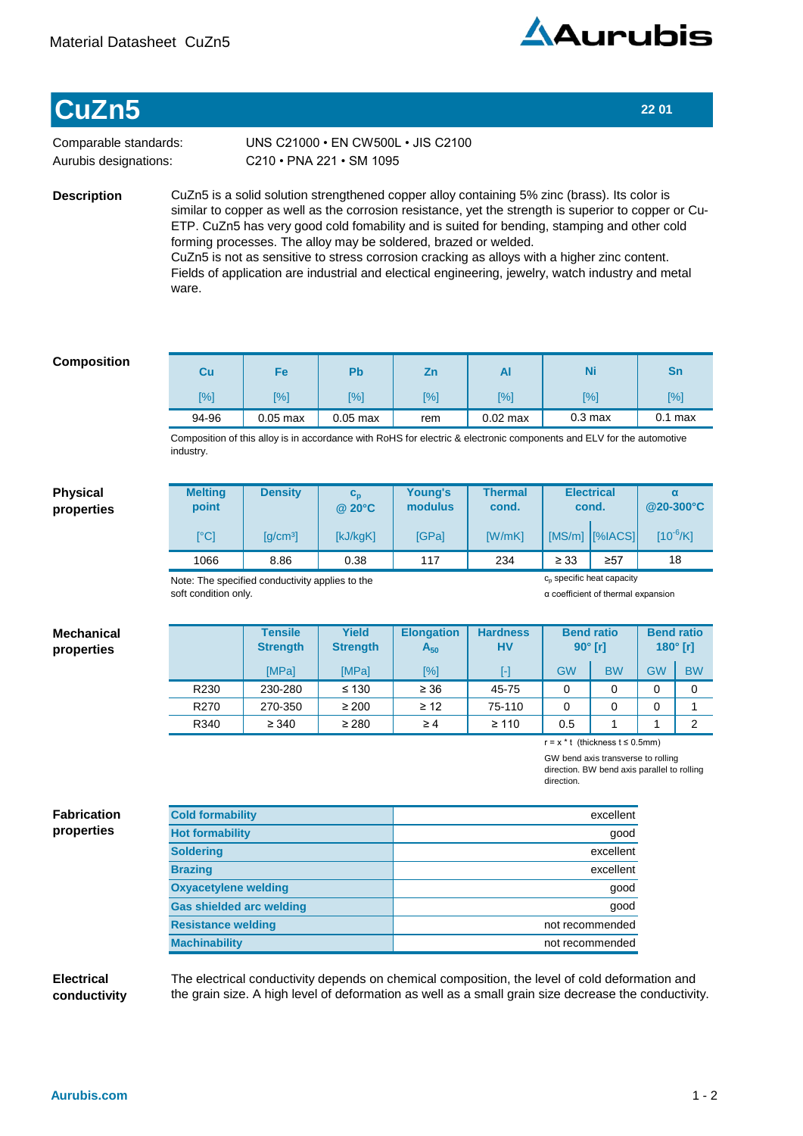

# **CuZn5 22 01**

Comparable standards: Aurubis designations:

C210•PNA221•SM1095 UNS C21000 · EN CW500L · JIS C2100

**Description**

CuZn5 is a solid solution strengthened copper alloy containing 5% zinc (brass). Its color is similar to copper as well as the corrosion resistance, yet the strength is superior to copper or Cu-ETP. CuZn5 has very good cold fomability and is suited for bending, stamping and other cold forming processes. The alloy may be soldered, brazed or welded. CuZn5 is not as sensitive to stress corrosion cracking as alloys with a higher zinc content. Fields of application are industrial and electical engineering, jewelry, watch industry and metal ware.

# **Composition**

| Cu    | Fe         | P <sub>b</sub> | Zn         | Al         | Ni                 | Sn                 |
|-------|------------|----------------|------------|------------|--------------------|--------------------|
| [%]   | [%]        | [%]            | <b>[%]</b> | [%]        | [%]                | $\lceil \% \rceil$ |
| 94-96 | $0.05$ max | $0.05$ max     | rem        | $0.02$ max | 0.3 <sub>max</sub> | $0.1$ max          |

Composition of this alloy is in accordance with RoHS for electric & electronic components and ELV for the automotive industry.

# **Physical properties**

**Mechanical properties**

| <b>Melting</b><br>point                 | <b>Density</b>                              | $\mathbf{c}_{\mathbf{n}}$<br>$@$ 20 $°C$ | Young's<br>modulus | <b>Thermal</b><br>cond. |           | <b>Electrical</b><br>cond. | α<br>@20-300°C |
|-----------------------------------------|---------------------------------------------|------------------------------------------|--------------------|-------------------------|-----------|----------------------------|----------------|
| $\mathsf{I}^\circ\mathsf{C} \mathsf{I}$ | $\left[\frac{\text{q}}{\text{cm}^3}\right]$ | [kJ/kgK]                                 | <b>IGPal</b>       | [W/mK]                  |           | [MS/m] [%IACS]             | $[10^{-6}/K]$  |
| 1066                                    | 8.86                                        | 0.38                                     | 117                | 234                     | $\geq 33$ | $\geq 57$                  | 18             |

Note: The specified conductivity applies to the soft condition only.

α coefficient of thermal expansion

c<sub>p</sub> specific heat capacity

#### **Tensile Strength Yield Strength Elongation A<sup>50</sup> Hardness HV** [MPa] | [MPa] | [%] | [-] | GW | BW | GW | BW R230 | 230-280 | ≤130 | ≥36 | 45-75 | 0 | 0 | 0 | 0 R270 | 270-350 | ≥200 | ≥12 | 75-110 | 0 | 0 | 0 | 1 R340 ≥340 ≥280 ≥4 ≥110 0.5 1 1 2 **Bend ratio 90° [r] Bend ratio 180° [r]**

r=x\*t(thicknesst≤0.5mm)

GW bend axis transverse to rolling direction. BW bend axis parallel to rolling direction.

# **Fabrication properties**

| <b>Cold formability</b>         | excellent       |
|---------------------------------|-----------------|
| <b>Hot formability</b>          | good            |
| <b>Soldering</b>                | excellent       |
| <b>Brazing</b>                  | excellent       |
| <b>Oxyacetylene welding</b>     | qood            |
| <b>Gas shielded arc welding</b> | qood            |
| <b>Resistance welding</b>       | not recommended |
| <b>Machinability</b>            | not recommended |

### **Electrical conductivity**

The electrical conductivity depends on chemical composition, the level of cold deformation and the grain size. A high level of deformation as well as a small grain size decrease the conductivity.